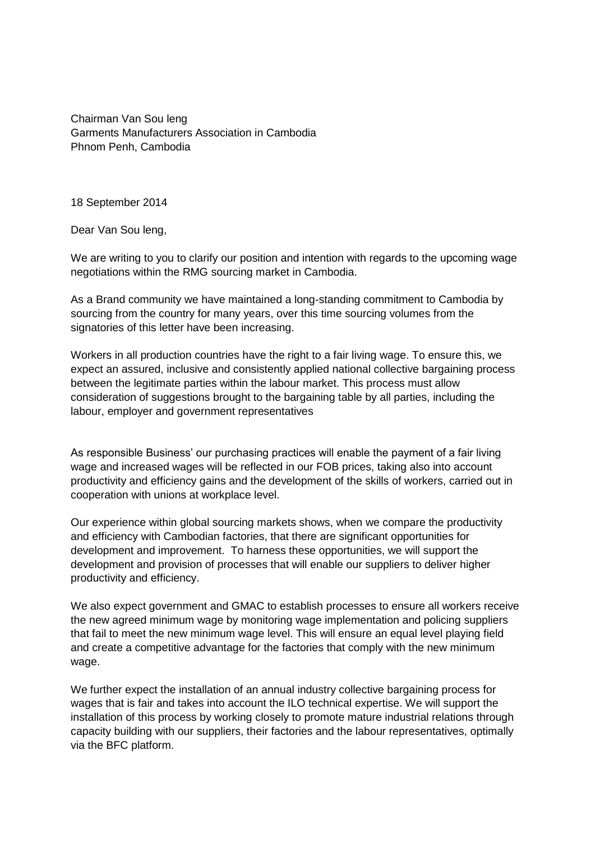Chairman Van Sou leng Garments Manufacturers Association in Cambodia Phnom Penh, Cambodia

18 September 2014

Dear Van Sou leng,

We are writing to you to clarify our position and intention with regards to the upcoming wage negotiations within the RMG sourcing market in Cambodia.

As a Brand community we have maintained a long-standing commitment to Cambodia by sourcing from the country for many years, over this time sourcing volumes from the signatories of this letter have been increasing.

Workers in all production countries have the right to a fair living wage. To ensure this, we expect an assured, inclusive and consistently applied national collective bargaining process between the legitimate parties within the labour market. This process must allow consideration of suggestions brought to the bargaining table by all parties, including the labour, employer and government representatives

As responsible Business' our purchasing practices will enable the payment of a fair living wage and increased wages will be reflected in our FOB prices, taking also into account productivity and efficiency gains and the development of the skills of workers, carried out in cooperation with unions at workplace level.

Our experience within global sourcing markets shows, when we compare the productivity and efficiency with Cambodian factories, that there are significant opportunities for development and improvement. To harness these opportunities, we will support the development and provision of processes that will enable our suppliers to deliver higher productivity and efficiency.

We also expect government and GMAC to establish processes to ensure all workers receive the new agreed minimum wage by monitoring wage implementation and policing suppliers that fail to meet the new minimum wage level. This will ensure an equal level playing field and create a competitive advantage for the factories that comply with the new minimum wage.

We further expect the installation of an annual industry collective bargaining process for wages that is fair and takes into account the ILO technical expertise. We will support the installation of this process by working closely to promote mature industrial relations through capacity building with our suppliers, their factories and the labour representatives, optimally via the BFC platform.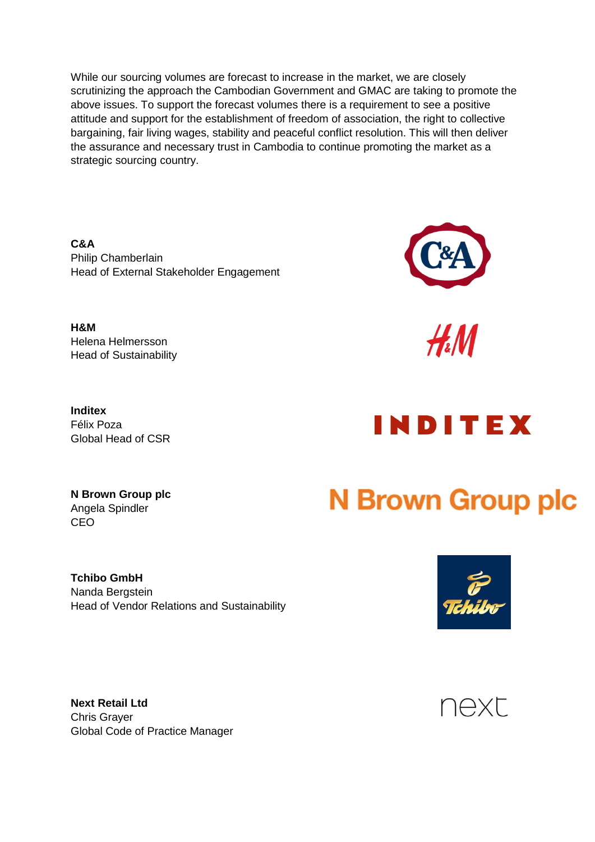While our sourcing volumes are forecast to increase in the market, we are closely scrutinizing the approach the Cambodian Government and GMAC are taking to promote the above issues. To support the forecast volumes there is a requirement to see a positive attitude and support for the establishment of freedom of association, the right to collective bargaining, fair living wages, stability and peaceful conflict resolution. This will then deliver the assurance and necessary trust in Cambodia to continue promoting the market as a strategic sourcing country.

**C&A** Philip Chamberlain Head of External Stakeholder Engagement

**H&M** Helena Helmersson Head of Sustainability

**Inditex** Global Head of CSR



 $\mathcal{H}M$ 

Félix Poza



**N Brown Group plc** Angela Spindler CEO

**Tchibo GmbH** Nanda Bergstein Head of Vendor Relations and Sustainability

## **N Brown Group plc**



**Next Retail Ltd** Chris Grayer Global Code of Practice Manager

## **NEXL**